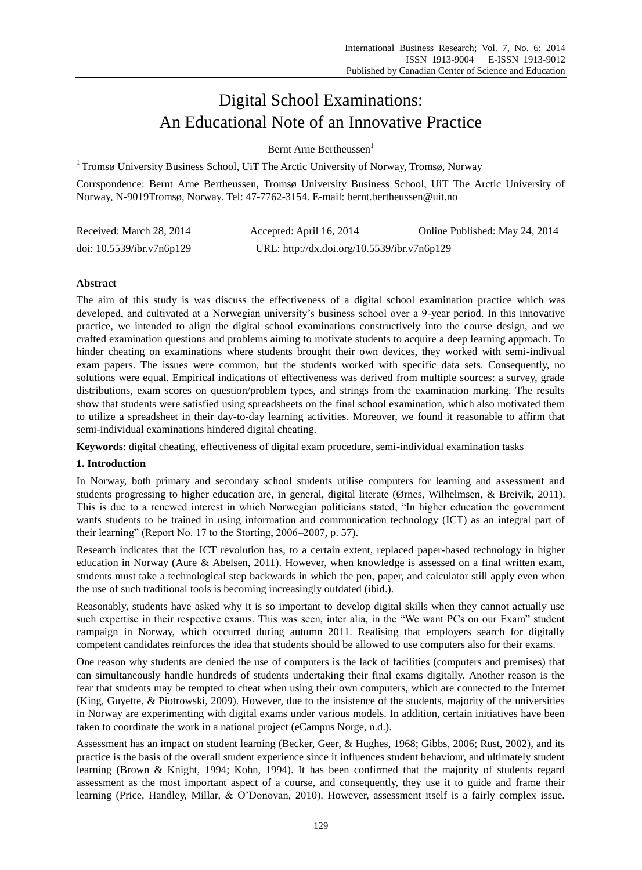# Digital School Examinations: An Educational Note of an Innovative Practice

Bernt Arne Bertheussen $<sup>1</sup>$ </sup>

 $1$  Troms ø University Business School, UiT The Arctic University of Norway, Troms  $\alpha$  Norway

Corrspondence: Bernt Arne Bertheussen, Tromsø University Business School, UiT The Arctic University of Norway, N-9019Tromsø, Norway. Tel: 47-7762-3154. E-mail: bernt.bertheussen@uit.no

| Received: March 28, 2014     | Accepted: April 16, 2014                    | Online Published: May 24, 2014 |
|------------------------------|---------------------------------------------|--------------------------------|
| doi: $10.5539$ /ibr.v7n6p129 | URL: http://dx.doi.org/10.5539/ibr.v7n6p129 |                                |

# **Abstract**

The aim of this study is was discuss the effectiveness of a digital school examination practice which was developed, and cultivated at a Norwegian university"s business school over a 9-year period. In this innovative practice, we intended to align the digital school examinations constructively into the course design, and we crafted examination questions and problems aiming to motivate students to acquire a deep learning approach. To hinder cheating on examinations where students brought their own devices, they worked with semi-indivual exam papers. The issues were common, but the students worked with specific data sets. Consequently, no solutions were equal. Empirical indications of effectiveness was derived from multiple sources: a survey, grade distributions, exam scores on question/problem types, and strings from the examination marking. The results show that students were satisfied using spreadsheets on the final school examination, which also motivated them to utilize a spreadsheet in their day-to-day learning activities. Moreover, we found it reasonable to affirm that semi-individual examinations hindered digital cheating.

**Keywords**: digital cheating, effectiveness of digital exam procedure, semi-individual examination tasks

## **1. Introduction**

In Norway, both primary and secondary school students utilise computers for learning and assessment and students progressing to higher education are, in general, digital literate (Ørnes, Wilhelmsen, & Breivik, 2011). This is due to a renewed interest in which Norwegian politicians stated, "In higher education the government wants students to be trained in using information and communication technology (ICT) as an integral part of their learning" (Report No. 17 to the Storting, 2006–2007, p. 57).

Research indicates that the ICT revolution has, to a certain extent, replaced paper-based technology in higher education in Norway (Aure & Abelsen, 2011). However, when knowledge is assessed on a final written exam, students must take a technological step backwards in which the pen, paper, and calculator still apply even when the use of such traditional tools is becoming increasingly outdated (ibid.).

Reasonably, students have asked why it is so important to develop digital skills when they cannot actually use such expertise in their respective exams. This was seen, inter alia, in the "We want PCs on our Exam" student campaign in Norway, which occurred during autumn 2011. Realising that employers search for digitally competent candidates reinforces the idea that students should be allowed to use computers also for their exams.

One reason why students are denied the use of computers is the lack of facilities (computers and premises) that can simultaneously handle hundreds of students undertaking their final exams digitally. Another reason is the fear that students may be tempted to cheat when using their own computers, which are connected to the Internet (King, Guyette, & Piotrowski, 2009). However, due to the insistence of the students, majority of the universities in Norway are experimenting with digital exams under various models. In addition, certain initiatives have been taken to coordinate the work in a national project (eCampus Norge, n.d.).

Assessment has an impact on student learning (Becker, Geer, & Hughes, 1968; Gibbs, 2006; Rust, 2002), and its practice is the basis of the overall student experience since it influences student behaviour, and ultimately student learning (Brown & Knight, 1994; Kohn, 1994). It has been confirmed that the majority of students regard assessment as the most important aspect of a course, and consequently, they use it to guide and frame their learning (Price, Handley, Millar, & O"Donovan, 2010). However, assessment itself is a fairly complex issue.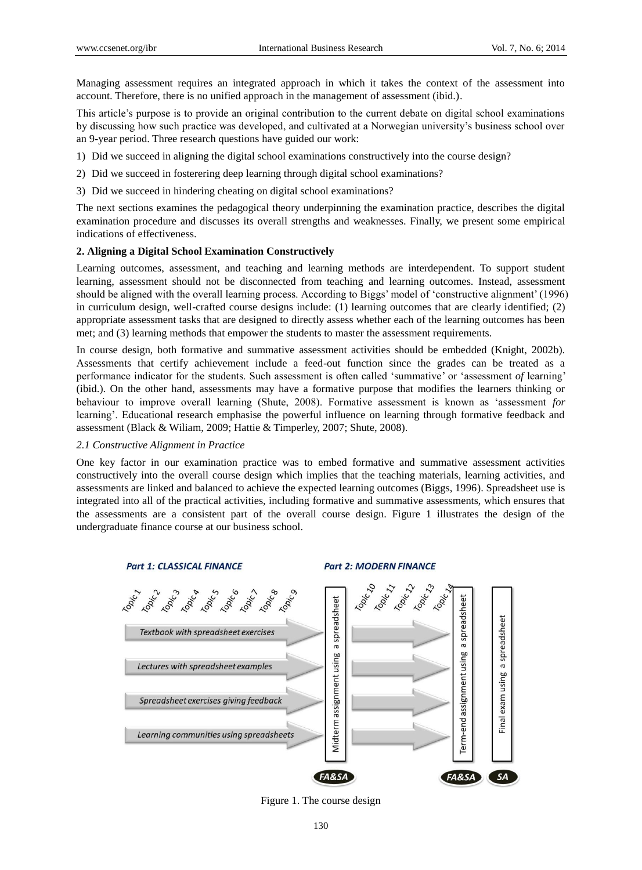Managing assessment requires an integrated approach in which it takes the context of the assessment into account. Therefore, there is no unified approach in the management of assessment (ibid.).

This article"s purpose is to provide an original contribution to the current debate on digital school examinations by discussing how such practice was developed, and cultivated at a Norwegian university"s business school over an 9-year period. Three research questions have guided our work:

- 1) Did we succeed in aligning the digital school examinations constructively into the course design?
- 2) Did we succeed in fosterering deep learning through digital school examinations?
- 3) Did we succeed in hindering cheating on digital school examinations?

The next sections examines the pedagogical theory underpinning the examination practice, describes the digital examination procedure and discusses its overall strengths and weaknesses. Finally, we present some empirical indications of effectiveness.

#### **2. Aligning a Digital School Examination Constructively**

Learning outcomes, assessment, and teaching and learning methods are interdependent. To support student learning, assessment should not be disconnected from teaching and learning outcomes. Instead, assessment should be aligned with the overall learning process. According to Biggs" model of "constructive alignment" (1996) in curriculum design, well-crafted course designs include: (1) learning outcomes that are clearly identified; (2) appropriate assessment tasks that are designed to directly assess whether each of the learning outcomes has been met; and (3) learning methods that empower the students to master the assessment requirements.

In course design, both formative and summative assessment activities should be embedded (Knight, 2002b). Assessments that certify achievement include a feed-out function since the grades can be treated as a performance indicator for the students. Such assessment is often called "summative" or "assessment *of* learning" (ibid.). On the other hand, assessments may have a formative purpose that modifies the learners thinking or behaviour to improve overall learning (Shute, 2008). Formative assessment is known as "assessment *for* learning'. Educational research emphasise the powerful influence on learning through formative feedback and assessment (Black & Wiliam, 2009; Hattie & Timperley, 2007; Shute, 2008).

#### *2.1 Constructive Alignment in Practice*

One key factor in our examination practice was to embed formative and summative assessment activities constructively into the overall course design which implies that the teaching materials, learning activities, and assessments are linked and balanced to achieve the expected learning outcomes (Biggs, 1996). Spreadsheet use is integrated into all of the practical activities, including formative and summative assessments, which ensures that the assessments are a consistent part of the overall course design. Figure 1 illustrates the design of the undergraduate finance course at our business school.

**Part 2: MODERN FINANCE** 



## **Part 1: CLASSICAL FINANCE**

## Figure 1. The course design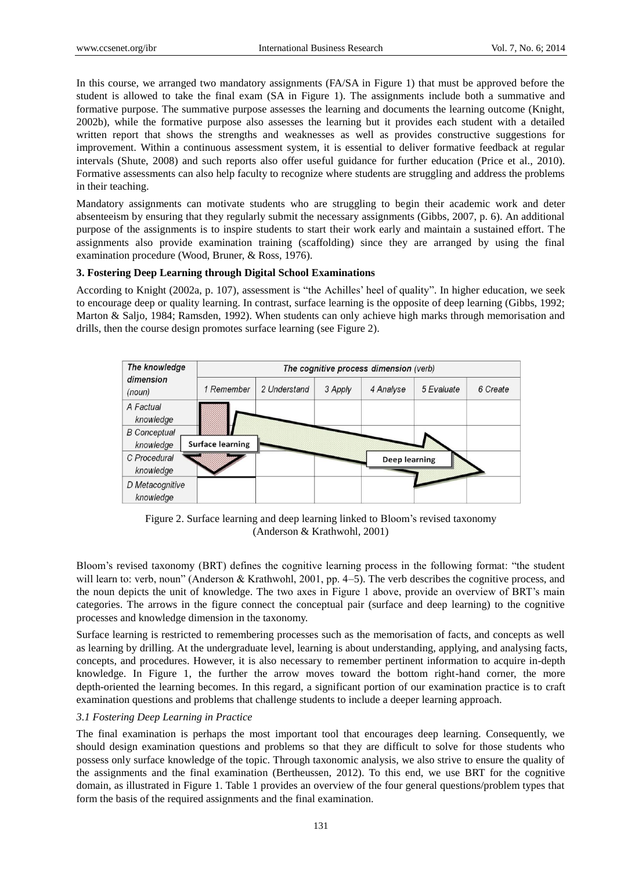In this course, we arranged two mandatory assignments (FA/SA in Figure 1) that must be approved before the student is allowed to take the final exam (SA in Figure 1). The assignments include both a summative and formative purpose. The summative purpose assesses the learning and documents the learning outcome (Knight, 2002b), while the formative purpose also assesses the learning but it provides each student with a detailed written report that shows the strengths and weaknesses as well as provides constructive suggestions for improvement. Within a continuous assessment system, it is essential to deliver formative feedback at regular intervals (Shute, 2008) and such reports also offer useful guidance for further education (Price et al., 2010). Formative assessments can also help faculty to recognize where students are struggling and address the problems in their teaching.

Mandatory assignments can motivate students who are struggling to begin their academic work and deter absenteeism by ensuring that they regularly submit the necessary assignments (Gibbs, 2007, p. 6). An additional purpose of the assignments is to inspire students to start their work early and maintain a sustained effort. The assignments also provide examination training (scaffolding) since they are arranged by using the final examination procedure (Wood, Bruner, & Ross, 1976).

# **3. Fostering Deep Learning through Digital School Examinations**

According to Knight (2002a, p. 107), assessment is "the Achilles" heel of quality". In higher education, we seek to encourage deep or quality learning. In contrast, surface learning is the opposite of deep learning (Gibbs, 1992; Marton & Saljo, 1984; Ramsden, 1992). When students can only achieve high marks through memorisation and drills, then the course design promotes surface learning (see Figure 2).

![](_page_2_Figure_7.jpeg)

Figure 2. Surface learning and deep learning linked to Bloom"s revised taxonomy (Anderson & Krathwohl, 2001)

Bloom"s revised taxonomy (BRT) defines the cognitive learning process in the following format: "the student will learn to: verb, noun" (Anderson & Krathwohl, 2001, pp. 4–5). The verb describes the cognitive process, and the noun depicts the unit of knowledge. The two axes in Figure 1 above, provide an overview of BRT"s main categories. The arrows in the figure connect the conceptual pair (surface and deep learning) to the cognitive processes and knowledge dimension in the taxonomy.

Surface learning is restricted to remembering processes such as the memorisation of facts, and concepts as well as learning by drilling. At the undergraduate level, learning is about understanding, applying, and analysing facts, concepts, and procedures. However, it is also necessary to remember pertinent information to acquire in-depth knowledge. In Figure 1, the further the arrow moves toward the bottom right-hand corner, the more depth-oriented the learning becomes. In this regard, a significant portion of our examination practice is to craft examination questions and problems that challenge students to include a deeper learning approach.

# *3.1 Fostering Deep Learning in Practice*

The final examination is perhaps the most important tool that encourages deep learning. Consequently, we should design examination questions and problems so that they are difficult to solve for those students who possess only surface knowledge of the topic. Through taxonomic analysis, we also strive to ensure the quality of the assignments and the final examination (Bertheussen, 2012). To this end, we use BRT for the cognitive domain, as illustrated in Figure 1. Table 1 provides an overview of the four general questions/problem types that form the basis of the required assignments and the final examination.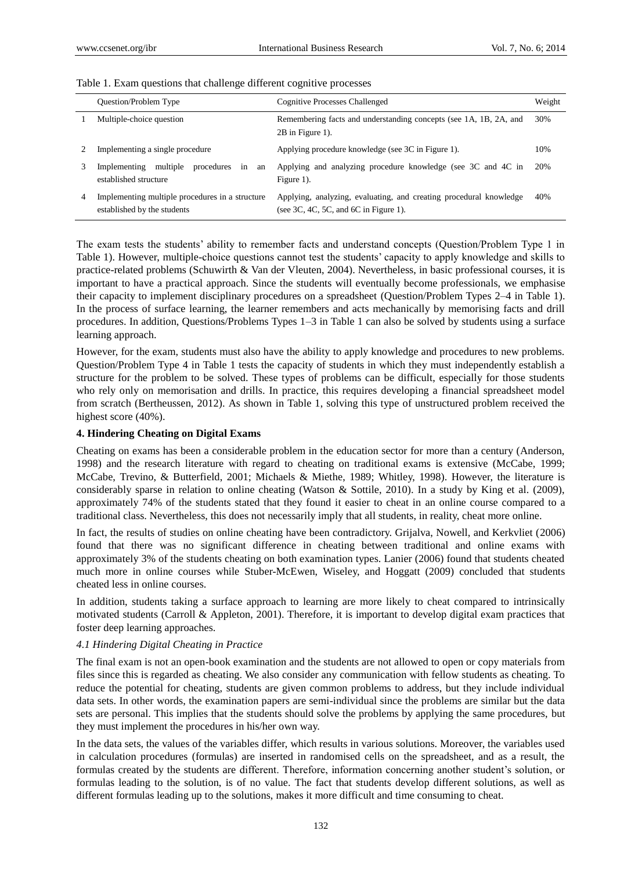|   | <b>Ouestion/Problem Type</b>                                                   | <b>Cognitive Processes Challenged</b>                                                                                  | Weight |  |  |  |  |  |
|---|--------------------------------------------------------------------------------|------------------------------------------------------------------------------------------------------------------------|--------|--|--|--|--|--|
|   | Multiple-choice question                                                       | Remembering facts and understanding concepts (see 1A, 1B, 2A, and<br>$2B$ in Figure 1).                                | 30%    |  |  |  |  |  |
|   | Implementing a single procedure                                                | Applying procedure knowledge (see 3C in Figure 1).                                                                     |        |  |  |  |  |  |
| 3 | multiple<br>Implementing<br>procedures<br>in<br>an<br>established structure    | Applying and analyzing procedure knowledge (see 3C and 4C in<br>Figure $1$ ).                                          | 20%    |  |  |  |  |  |
| 4 | Implementing multiple procedures in a structure<br>established by the students | Applying, analyzing, evaluating, and creating procedural knowledge<br>(see $3C$ , $4C$ , $5C$ , and $6C$ in Figure 1). | 40%    |  |  |  |  |  |

The exam tests the students" ability to remember facts and understand concepts (Question/Problem Type 1 in Table 1). However, multiple-choice questions cannot test the students" capacity to apply knowledge and skills to practice-related problems (Schuwirth & Van der Vleuten, 2004). Nevertheless, in basic professional courses, it is important to have a practical approach. Since the students will eventually become professionals, we emphasise their capacity to implement disciplinary procedures on a spreadsheet (Question/Problem Types 2–4 in Table 1). In the process of surface learning, the learner remembers and acts mechanically by memorising facts and drill procedures. In addition, Questions/Problems Types 1–3 in Table 1 can also be solved by students using a surface learning approach.

However, for the exam, students must also have the ability to apply knowledge and procedures to new problems. Question/Problem Type 4 in Table 1 tests the capacity of students in which they must independently establish a structure for the problem to be solved. These types of problems can be difficult, especially for those students who rely only on memorisation and drills. In practice, this requires developing a financial spreadsheet model from scratch (Bertheussen, 2012). As shown in Table 1, solving this type of unstructured problem received the highest score (40%).

#### **4. Hindering Cheating on Digital Exams**

Cheating on exams has been a considerable problem in the education sector for more than a century (Anderson, 1998) and the research literature with regard to cheating on traditional exams is extensive (McCabe, 1999; McCabe, Trevino, & Butterfield, 2001; Michaels & Miethe, 1989; Whitley, 1998). However, the literature is considerably sparse in relation to online cheating (Watson & Sottile, 2010). In a study by King et al. (2009), approximately 74% of the students stated that they found it easier to cheat in an online course compared to a traditional class. Nevertheless, this does not necessarily imply that all students, in reality, cheat more online.

In fact, the results of studies on online cheating have been contradictory. Grijalva, Nowell, and Kerkvliet (2006) found that there was no significant difference in cheating between traditional and online exams with approximately 3% of the students cheating on both examination types. Lanier (2006) found that students cheated much more in online courses while Stuber-McEwen, Wiseley, and Hoggatt (2009) concluded that students cheated less in online courses.

In addition, students taking a surface approach to learning are more likely to cheat compared to intrinsically motivated students (Carroll & Appleton, 2001). Therefore, it is important to develop digital exam practices that foster deep learning approaches.

#### *4.1 Hindering Digital Cheating in Practice*

The final exam is not an open-book examination and the students are not allowed to open or copy materials from files since this is regarded as cheating. We also consider any communication with fellow students as cheating. To reduce the potential for cheating, students are given common problems to address, but they include individual data sets. In other words, the examination papers are semi-individual since the problems are similar but the data sets are personal. This implies that the students should solve the problems by applying the same procedures, but they must implement the procedures in his/her own way.

In the data sets, the values of the variables differ, which results in various solutions. Moreover, the variables used in calculation procedures (formulas) are inserted in randomised cells on the spreadsheet, and as a result, the formulas created by the students are different. Therefore, information concerning another student's solution, or formulas leading to the solution, is of no value. The fact that students develop different solutions, as well as different formulas leading up to the solutions, makes it more difficult and time consuming to cheat.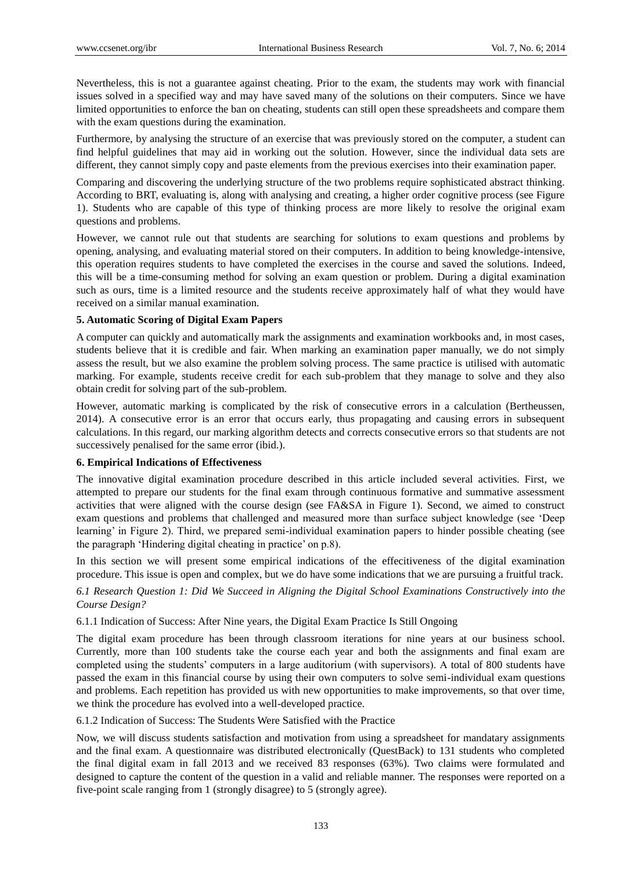Nevertheless, this is not a guarantee against cheating. Prior to the exam, the students may work with financial issues solved in a specified way and may have saved many of the solutions on their computers. Since we have limited opportunities to enforce the ban on cheating, students can still open these spreadsheets and compare them with the exam questions during the examination.

Furthermore, by analysing the structure of an exercise that was previously stored on the computer, a student can find helpful guidelines that may aid in working out the solution. However, since the individual data sets are different, they cannot simply copy and paste elements from the previous exercises into their examination paper.

Comparing and discovering the underlying structure of the two problems require sophisticated abstract thinking. According to BRT, evaluating is, along with analysing and creating, a higher order cognitive process (see Figure 1). Students who are capable of this type of thinking process are more likely to resolve the original exam questions and problems.

However, we cannot rule out that students are searching for solutions to exam questions and problems by opening, analysing, and evaluating material stored on their computers. In addition to being knowledge-intensive, this operation requires students to have completed the exercises in the course and saved the solutions. Indeed, this will be a time-consuming method for solving an exam question or problem. During a digital examination such as ours, time is a limited resource and the students receive approximately half of what they would have received on a similar manual examination.

# **5. Automatic Scoring of Digital Exam Papers**

A computer can quickly and automatically mark the assignments and examination workbooks and, in most cases, students believe that it is credible and fair. When marking an examination paper manually, we do not simply assess the result, but we also examine the problem solving process. The same practice is utilised with automatic marking. For example, students receive credit for each sub-problem that they manage to solve and they also obtain credit for solving part of the sub-problem.

However, automatic marking is complicated by the risk of consecutive errors in a calculation (Bertheussen, 2014). A consecutive error is an error that occurs early, thus propagating and causing errors in subsequent calculations. In this regard, our marking algorithm detects and corrects consecutive errors so that students are not successively penalised for the same error (ibid.).

## **6. Empirical Indications of Effectiveness**

The innovative digital examination procedure described in this article included several activities. First, we attempted to prepare our students for the final exam through continuous formative and summative assessment activities that were aligned with the course design (see FA&SA in Figure 1). Second, we aimed to construct exam questions and problems that challenged and measured more than surface subject knowledge (see "Deep learning' in Figure 2). Third, we prepared semi-individual examination papers to hinder possible cheating (see the paragraph "Hindering digital cheating in practice" on p.8).

In this section we will present some empirical indications of the effecitiveness of the digital examination procedure. This issue is open and complex, but we do have some indications that we are pursuing a fruitful track.

# *6.1 Research Question 1: Did We Succeed in Aligning the Digital School Examinations Constructively into the Course Design?*

6.1.1 Indication of Success: After Nine years, the Digital Exam Practice Is Still Ongoing

The digital exam procedure has been through classroom iterations for nine years at our business school. Currently, more than 100 students take the course each year and both the assignments and final exam are completed using the students" computers in a large auditorium (with supervisors). A total of 800 students have passed the exam in this financial course by using their own computers to solve semi-individual exam questions and problems. Each repetition has provided us with new opportunities to make improvements, so that over time, we think the procedure has evolved into a well-developed practice.

6.1.2 Indication of Success: The Students Were Satisfied with the Practice

Now, we will discuss students satisfaction and motivation from using a spreadsheet for mandatary assignments and the final exam. A questionnaire was distributed electronically (QuestBack) to 131 students who completed the final digital exam in fall 2013 and we received 83 responses (63%). Two claims were formulated and designed to capture the content of the question in a valid and reliable manner. The responses were reported on a five-point scale ranging from 1 (strongly disagree) to 5 (strongly agree).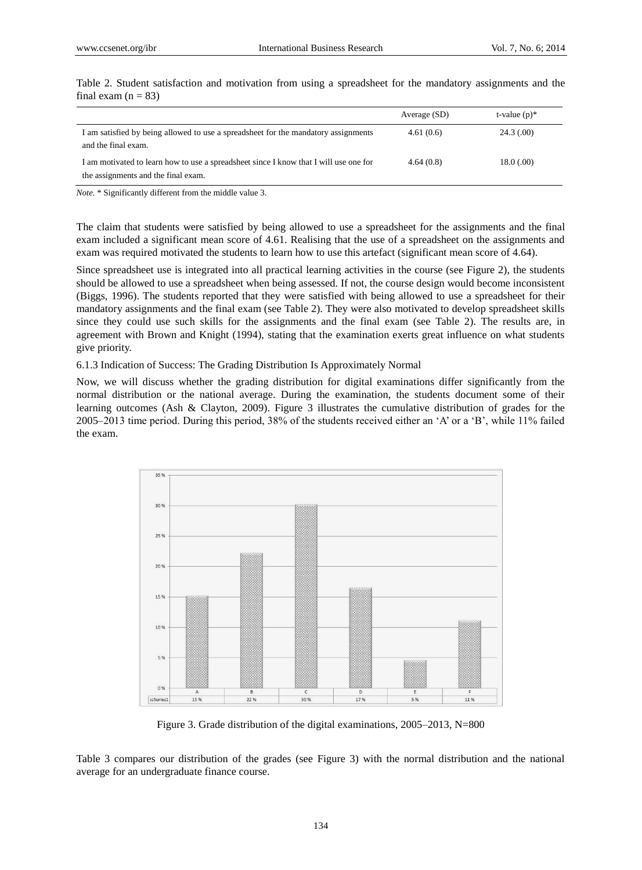|                                                                                                                              | Average (SD) | t-value $(p)^*$ |
|------------------------------------------------------------------------------------------------------------------------------|--------------|-----------------|
| I am satisfied by being allowed to use a spreadsheet for the mandatory assignments<br>and the final exam.                    | 4.61(0.6)    | 24.3(0)         |
| I am motivated to learn how to use a spreadsheet since I know that I will use one for<br>the assignments and the final exam. | 4.64(0.8)    | 18.0(0.00)      |

Table 2. Student satisfaction and motivation from using a spreadsheet for the mandatory assignments and the final exam  $(n = 83)$ 

*Note.* \* Significantly different from the middle value 3.

The claim that students were satisfied by being allowed to use a spreadsheet for the assignments and the final exam included a significant mean score of 4.61. Realising that the use of a spreadsheet on the assignments and exam was required motivated the students to learn how to use this artefact (significant mean score of 4.64).

Since spreadsheet use is integrated into all practical learning activities in the course (see Figure 2), the students should be allowed to use a spreadsheet when being assessed. If not, the course design would become inconsistent (Biggs, 1996). The students reported that they were satisfied with being allowed to use a spreadsheet for their mandatory assignments and the final exam (see Table 2). They were also motivated to develop spreadsheet skills since they could use such skills for the assignments and the final exam (see Table 2). The results are, in agreement with Brown and Knight (1994), stating that the examination exerts great influence on what students give priority.

6.1.3 Indication of Success: The Grading Distribution Is Approximately Normal

Now, we will discuss whether the grading distribution for digital examinations differ significantly from the normal distribution or the national average. During the examination, the students document some of their learning outcomes (Ash & Clayton, 2009). Figure 3 illustrates the cumulative distribution of grades for the 2005–2013 time period. During this period, 38% of the students received either an "A" or a "B", while 11% failed the exam.

![](_page_5_Figure_10.jpeg)

Figure 3. Grade distribution of the digital examinations, 2005–2013, N=800

Table 3 compares our distribution of the grades (see Figure 3) with the normal distribution and the national average for an undergraduate finance course.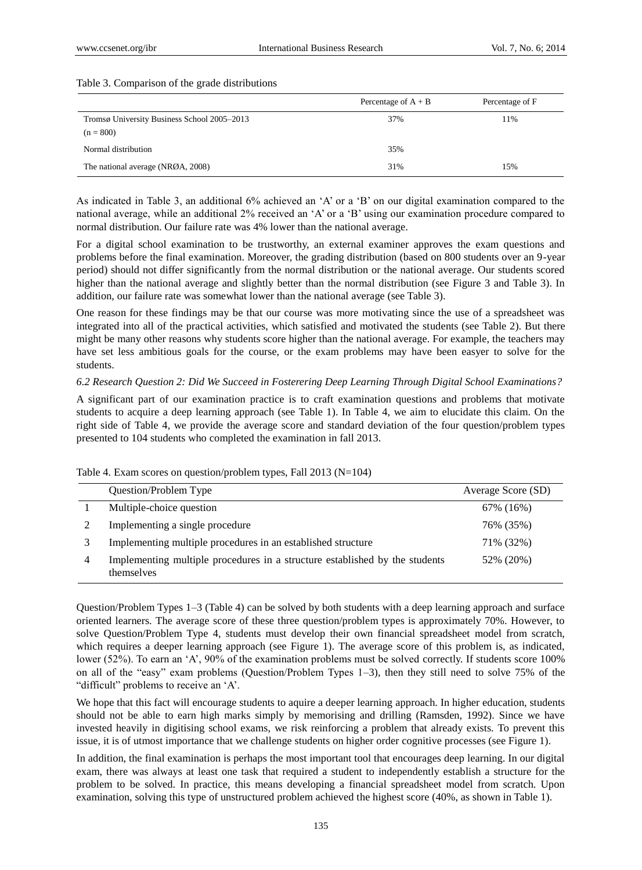|                                               | Percentage of $A + B$ | Percentage of F |
|-----------------------------------------------|-----------------------|-----------------|
| Troms ø University Business School 2005–2013  | 37%                   | 11%             |
| $(n = 800)$                                   |                       |                 |
| Normal distribution                           | 35%                   |                 |
| The national average (NR $\emptyset$ A, 2008) | 31%                   | 15%             |

#### Table 3. Comparison of the grade distributions

As indicated in Table 3, an additional 6% achieved an "A" or a "B" on our digital examination compared to the national average, while an additional 2% received an "A" or a "B" using our examination procedure compared to normal distribution. Our failure rate was 4% lower than the national average.

For a digital school examination to be trustworthy, an external examiner approves the exam questions and problems before the final examination. Moreover, the grading distribution (based on 800 students over an 9-year period) should not differ significantly from the normal distribution or the national average. Our students scored higher than the national average and slightly better than the normal distribution (see Figure 3 and Table 3). In addition, our failure rate was somewhat lower than the national average (see Table 3).

One reason for these findings may be that our course was more motivating since the use of a spreadsheet was integrated into all of the practical activities, which satisfied and motivated the students (see Table 2). But there might be many other reasons why students score higher than the national average. For example, the teachers may have set less ambitious goals for the course, or the exam problems may have been easyer to solve for the students.

## *6.2 Research Question 2: Did We Succeed in Fosterering Deep Learning Through Digital School Examinations?*

A significant part of our examination practice is to craft examination questions and problems that motivate students to acquire a deep learning approach (see Table 1). In Table 4, we aim to elucidate this claim. On the right side of Table 4, we provide the average score and standard deviation of the four question/problem types presented to 104 students who completed the examination in fall 2013.

|   | Question/Problem Type                                                                     | Average Score (SD) |
|---|-------------------------------------------------------------------------------------------|--------------------|
|   | Multiple-choice question                                                                  | 67% (16%)          |
|   | Implementing a single procedure                                                           | 76% (35%)          |
|   | Implementing multiple procedures in an established structure                              | 71% (32%)          |
| 4 | Implementing multiple procedures in a structure established by the students<br>themselves | 52% (20%)          |

Table 4. Exam scores on question/problem types, Fall 2013 (N=104)

Question/Problem Types 1–3 (Table 4) can be solved by both students with a deep learning approach and surface oriented learners. The average score of these three question/problem types is approximately 70%. However, to solve Question/Problem Type 4, students must develop their own financial spreadsheet model from scratch, which requires a deeper learning approach (see Figure 1). The average score of this problem is, as indicated, lower (52%). To earn an 'A', 90% of the examination problems must be solved correctly. If students score 100% on all of the "easy" exam problems (Question/Problem Types 1–3), then they still need to solve 75% of the "difficult" problems to receive an 'A'.

We hope that this fact will encourage students to aquire a deeper learning approach. In higher education, students should not be able to earn high marks simply by memorising and drilling (Ramsden, 1992). Since we have invested heavily in digitising school exams, we risk reinforcing a problem that already exists. To prevent this issue, it is of utmost importance that we challenge students on higher order cognitive processes (see Figure 1).

In addition, the final examination is perhaps the most important tool that encourages deep learning. In our digital exam, there was always at least one task that required a student to independently establish a structure for the problem to be solved. In practice, this means developing a financial spreadsheet model from scratch. Upon examination, solving this type of unstructured problem achieved the highest score (40%, as shown in Table 1).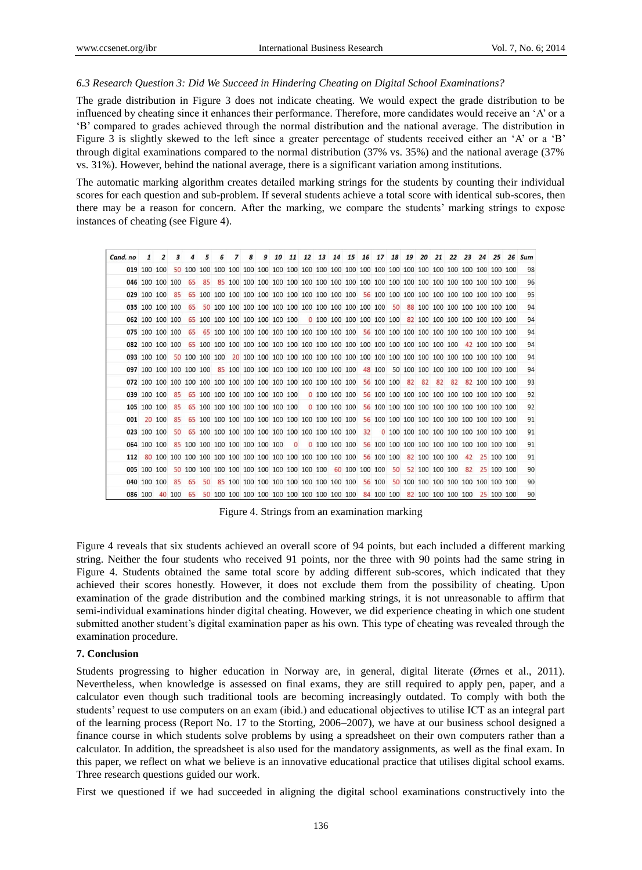#### *6.3 Research Question 3: Did We Succeed in Hindering Cheating on Digital School Examinations?*

The grade distribution in Figure 3 does not indicate cheating. We would expect the grade distribution to be influenced by cheating since it enhances their performance. Therefore, more candidates would receive an "A" or a "B" compared to grades achieved through the normal distribution and the national average. The distribution in Figure 3 is slightly skewed to the left since a greater percentage of students received either an 'A' or a 'B' through digital examinations compared to the normal distribution (37% vs. 35%) and the national average (37% vs. 31%). However, behind the national average, there is a significant variation among institutions.

The automatic marking algorithm creates detailed marking strings for the students by counting their individual scores for each question and sub-problem. If several students achieve a total score with identical sub-scores, then there may be a reason for concern. After the marking, we compare the students" marking strings to expose instances of cheating (see Figure 4).

| Cand, no | 1                       | $\overline{\mathbf{z}}$ | $\overline{3}$ | $\mathbf{a}$ | 5  | 6                              | $\overline{7}$                         | 8 | 9 | 10 11    | $12 \quad 13$ |               |                           |        |            |  |                |    | 14   15   16   17   18   19   20   21   22   23   24 | 25 |                | 26 Sum |
|----------|-------------------------|-------------------------|----------------|--------------|----|--------------------------------|----------------------------------------|---|---|----------|---------------|---------------|---------------------------|--------|------------|--|----------------|----|------------------------------------------------------|----|----------------|--------|
|          | 019 100 100             |                         |                |              |    |                                |                                        |   |   |          |               |               |                           |        |            |  |                |    |                                                      |    |                | 98     |
|          | 046 100 100 100         |                         |                | 65           | 85 |                                |                                        |   |   |          |               |               |                           |        |            |  |                |    |                                                      |    |                | 96     |
|          | 029 100 100             |                         | 85             |              |    |                                |                                        |   |   |          |               |               |                           |        |            |  |                |    |                                                      |    |                | 95     |
|          | 035 100 100 100         |                         |                | 65           |    |                                |                                        |   |   |          |               |               |                           |        | 50         |  |                |    | 88 100 100 100 100 100 100 100                       |    |                | 94     |
|          | 062 100 100             |                         | 100            |              |    | 65 100 100 100 100 100 100 100 |                                        |   |   |          |               |               | 0 100 100 100 100 100 100 |        |            |  |                |    | 82 100 100 100 100 100 100 100                       |    |                | 94     |
|          | 075 100 100 100         |                         |                | 65           |    |                                |                                        |   |   |          |               |               |                           |        |            |  |                |    |                                                      |    |                | 94     |
|          | 082 100 100 100         |                         |                |              |    |                                |                                        |   |   |          |               |               |                           |        |            |  |                |    |                                                      |    | 42 100 100 100 | 94     |
|          | 093 100 100             |                         |                |              |    | 50 100 100 100                 |                                        |   |   |          |               |               |                           |        |            |  |                |    |                                                      |    |                | 94     |
|          | 097 100 100 100 100 100 |                         |                |              |    |                                | 85 100 100 100 100 100 100 100 100 100 |   |   |          |               |               |                           | 48 100 |            |  |                |    | 50 100 100 100 100 100 100 100 100                   |    |                | 94     |
|          |                         |                         |                |              |    |                                |                                        |   |   |          |               |               |                           |        | 56 100 100 |  | 82 82 82       | 82 |                                                      |    | 82 100 100 100 | 93     |
|          | 039 100 100             |                         | 85             |              |    | 65 100 100 100 100 100 100 100 |                                        |   |   |          |               | 0 100 100 100 |                           |        |            |  |                |    |                                                      |    |                | 92     |
|          | 105 100 100             |                         | 85             |              |    | 65 100 100 100 100 100 100 100 |                                        |   |   |          |               | 0 100 100 100 |                           |        |            |  |                |    |                                                      |    |                | 92     |
| 001      | 20                      | 100                     | 85             |              |    |                                |                                        |   |   |          |               |               |                           |        |            |  |                |    |                                                      |    |                | 91     |
|          | 023 100 100             |                         | 50             |              |    |                                |                                        |   |   |          |               |               | 32                        |        |            |  |                |    | 0 100 100 100 100 100 100 100 100 100                |    |                | 91     |
|          | 064 100 100             |                         |                |              |    | 85 100 100 100 100 100 100 100 |                                        |   |   | $\Omega$ |               | 0 100 100 100 |                           |        |            |  |                |    |                                                      |    |                | 91     |
| 112      |                         |                         |                |              |    |                                |                                        |   |   |          |               |               |                           |        |            |  | 82 100 100 100 |    | 42                                                   |    | 25 100 100     | 91     |
|          | 005 100 100             |                         |                |              |    |                                |                                        |   |   |          |               |               |                           |        | 50         |  | 52 100 100 100 |    | 82                                                   |    | 25 100 100     | 90     |
|          | 040 100 100             |                         | 85             | 65           | 50 |                                | 85 100 100 100 100 100 100 100 100 100 |   |   |          |               |               |                           | 56 100 |            |  |                |    | 50 100 100 100 100 100 100 100 100                   |    |                | 90     |
|          | 086 100                 |                         | 40 100         | 65           |    |                                |                                        |   |   |          |               |               |                           |        |            |  |                |    |                                                      |    | 25 100 100     | 90     |

Figure 4. Strings from an examination marking

Figure 4 reveals that six students achieved an overall score of 94 points, but each included a different marking string. Neither the four students who received 91 points, nor the three with 90 points had the same string in Figure 4. Students obtained the same total score by adding different sub-scores, which indicated that they achieved their scores honestly. However, it does not exclude them from the possibility of cheating. Upon examination of the grade distribution and the combined marking strings, it is not unreasonable to affirm that semi-individual examinations hinder digital cheating. However, we did experience cheating in which one student submitted another student's digital examination paper as his own. This type of cheating was revealed through the examination procedure.

## **7. Conclusion**

Students progressing to higher education in Norway are, in general, digital literate (Ørnes et al., 2011). Nevertheless, when knowledge is assessed on final exams, they are still required to apply pen, paper, and a calculator even though such traditional tools are becoming increasingly outdated. To comply with both the students' request to use computers on an exam (ibid.) and educational objectives to utilise ICT as an integral part of the learning process (Report No. 17 to the Storting, 2006–2007), we have at our business school designed a finance course in which students solve problems by using a spreadsheet on their own computers rather than a calculator. In addition, the spreadsheet is also used for the mandatory assignments, as well as the final exam. In this paper, we reflect on what we believe is an innovative educational practice that utilises digital school exams. Three research questions guided our work.

First we questioned if we had succeeded in aligning the digital school examinations constructively into the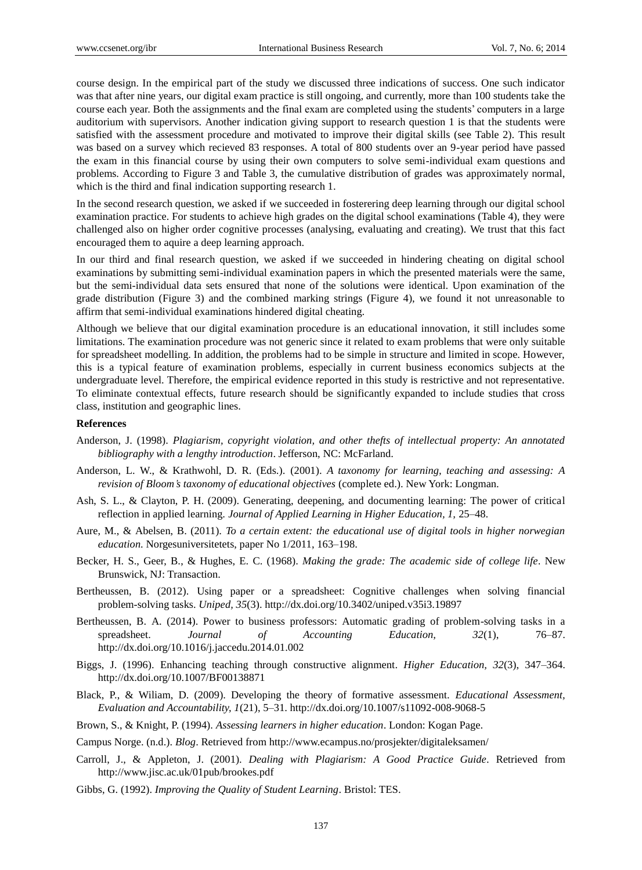course design. In the empirical part of the study we discussed three indications of success. One such indicator was that after nine years, our digital exam practice is still ongoing, and currently, more than 100 students take the course each year. Both the assignments and the final exam are completed using the students" computers in a large auditorium with supervisors. Another indication giving support to research question 1 is that the students were satisfied with the assessment procedure and motivated to improve their digital skills (see Table 2). This result was based on a survey which recieved 83 responses. A total of 800 students over an 9-year period have passed the exam in this financial course by using their own computers to solve semi-individual exam questions and problems. According to Figure 3 and Table 3, the cumulative distribution of grades was approximately normal, which is the third and final indication supporting research 1.

In the second research question, we asked if we succeeded in fosterering deep learning through our digital school examination practice. For students to achieve high grades on the digital school examinations (Table 4), they were challenged also on higher order cognitive processes (analysing, evaluating and creating). We trust that this fact encouraged them to aquire a deep learning approach.

In our third and final research question, we asked if we succeeded in hindering cheating on digital school examinations by submitting semi-individual examination papers in which the presented materials were the same, but the semi-individual data sets ensured that none of the solutions were identical. Upon examination of the grade distribution (Figure 3) and the combined marking strings (Figure 4), we found it not unreasonable to affirm that semi-individual examinations hindered digital cheating.

Although we believe that our digital examination procedure is an educational innovation, it still includes some limitations. The examination procedure was not generic since it related to exam problems that were only suitable for spreadsheet modelling. In addition, the problems had to be simple in structure and limited in scope. However, this is a typical feature of examination problems, especially in current business economics subjects at the undergraduate level. Therefore, the empirical evidence reported in this study is restrictive and not representative. To eliminate contextual effects, future research should be significantly expanded to include studies that cross class, institution and geographic lines.

### **References**

- Anderson, J. (1998). *Plagiarism, copyright violation, and other thefts of intellectual property: An annotated bibliography with a lengthy introduction*. Jefferson, NC: McFarland.
- Anderson, L. W., & Krathwohl, D. R. (Eds.). (2001). *A taxonomy for learning, teaching and assessing: A revision of Bloom's taxonomy of educational objectives* (complete ed.). New York: Longman.
- Ash, S. L., & Clayton, P. H. (2009). Generating, deepening, and documenting learning: The power of critical reflection in applied learning. *Journal of Applied Learning in Higher Education, 1,* 25–48.
- Aure, M., & Abelsen, B. (2011). *To a certain extent: the educational use of digital tools in higher norwegian education*. Norgesuniversitetets, paper No 1/2011, 163–198.
- Becker, H. S., Geer, B., & Hughes, E. C. (1968). *Making the grade: The academic side of college life*. New Brunswick, NJ: Transaction.
- Bertheussen, B. (2012). Using paper or a spreadsheet: Cognitive challenges when solving financial problem-solving tasks. *Uniped, 35*(3). http://dx.doi.org/10.3402/uniped.v35i3.19897
- Bertheussen, B. A. (2014). Power to business professors: Automatic grading of problem-solving tasks in a spreadsheet. *Journal of Accounting Education, 32*(1), 76–87. http://dx.doi.org/10.1016/j.jaccedu.2014.01.002
- Biggs, J. (1996). Enhancing teaching through constructive alignment. *Higher Education, 32*(3), 347–364. http://dx.doi.org/10.1007/BF00138871
- Black, P., & Wiliam, D. (2009). Developing the theory of formative assessment. *Educational Assessment, Evaluation and Accountability, 1*(21), 5–31. http://dx.doi.org/10.1007/s11092-008-9068-5
- Brown, S., & Knight, P. (1994). *Assessing learners in higher education*. London: Kogan Page.
- Campus Norge. (n.d.). *Blog*. Retrieved from http://www.ecampus.no/prosjekter/digitaleksamen/
- Carroll, J., & Appleton, J. (2001). *Dealing with Plagiarism: A Good Practice Guide*. Retrieved from http://www.jisc.ac.uk/01pub/brookes.pdf
- Gibbs, G. (1992). *Improving the Quality of Student Learning*. Bristol: TES.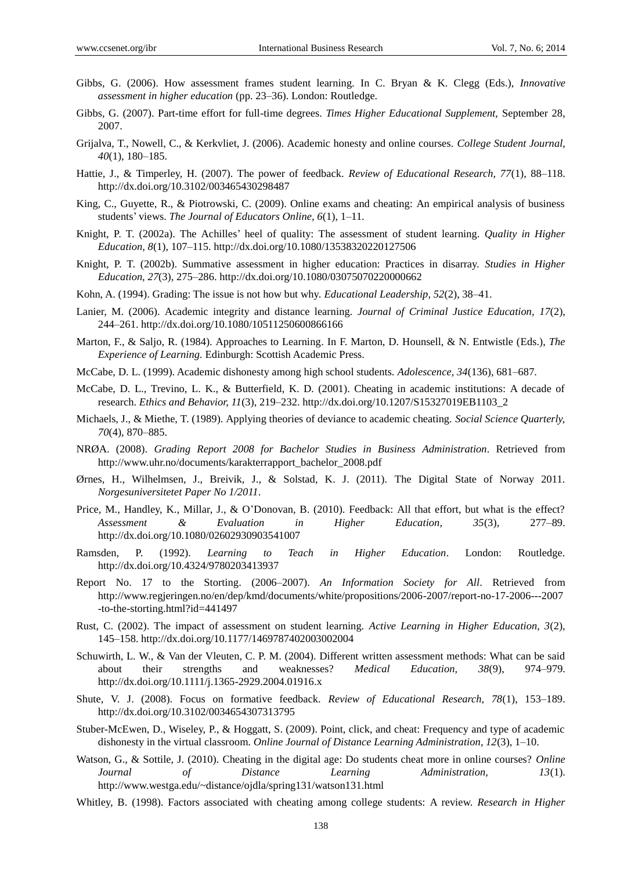- Gibbs, G. (2006). How assessment frames student learning. In C. Bryan & K. Clegg (Eds.), *Innovative assessment in higher education* (pp. 23–36). London: Routledge.
- Gibbs, G. (2007). Part-time effort for full-time degrees. *Times Higher Educational Supplement,* September 28, 2007.
- Grijalva, T., Nowell, C., & Kerkvliet, J. (2006). Academic honesty and online courses. *College Student Journal, 40*(1), 180–185.
- Hattie, J., & Timperley, H. (2007). The power of feedback. *Review of Educational Research, 77*(1), 88–118. http://dx.doi.org/10.3102/003465430298487
- King, C., Guyette, R., & Piotrowski, C. (2009). Online exams and cheating: An empirical analysis of business students" views. *The Journal of Educators Online, 6*(1), 1–11.
- Knight, P. T. (2002a). The Achilles" heel of quality: The assessment of student learning. *Quality in Higher Education, 8*(1), 107–115. http://dx.doi.org/10.1080/13538320220127506
- Knight, P. T. (2002b). Summative assessment in higher education: Practices in disarray. *Studies in Higher Education, 27*(3), 275–286. http://dx.doi.org/10.1080/03075070220000662
- Kohn, A. (1994). Grading: The issue is not how but why. *Educational Leadership, 52*(2), 38–41.
- Lanier, M. (2006). Academic integrity and distance learning*. Journal of Criminal Justice Education, 17*(2), 244–261. http://dx.doi.org/10.1080/10511250600866166
- Marton, F., & Saljo, R. (1984). Approaches to Learning. In F. Marton, D. Hounsell, & N. Entwistle (Eds.), *The Experience of Learning.* Edinburgh: Scottish Academic Press.
- McCabe, D. L. (1999). Academic dishonesty among high school students. *Adolescence, 34*(136), 681–687.
- McCabe, D. L., Trevino, L. K., & Butterfield, K. D. (2001). Cheating in academic institutions: A decade of research. *Ethics and Behavior, 11*(3), 219–232. http://dx.doi.org/10.1207/S15327019EB1103\_2
- Michaels, J., & Miethe, T. (1989). Applying theories of deviance to academic cheating. *Social Science Quarterly, 70*(4), 870–885.
- NRØA. (2008). *Grading Report 2008 for Bachelor Studies in Business Administration*. Retrieved from http://www.uhr.no/documents/karakterrapport\_bachelor\_2008.pdf
- Ørnes, H., Wilhelmsen, J., Breivik, J., & Solstad, K. J. (2011). The Digital State of Norway 2011. *Norgesuniversitetet Paper No 1/2011*.
- Price, M., Handley, K., Millar, J., & O"Donovan, B. (2010). Feedback: All that effort, but what is the effect? *Assessment & Evaluation in Higher Education, 35*(3), 277–89. http://dx.doi.org/10.1080/02602930903541007
- Ramsden, P. (1992). *Learning to Teach in Higher Education*. London: Routledge. http://dx.doi.org/10.4324/9780203413937
- Report No. 17 to the Storting. (2006–2007). *An Information Society for All*. Retrieved from http://www.regjeringen.no/en/dep/kmd/documents/white/propositions/2006-2007/report-no-17-2006---2007 -to-the-storting.html?id=441497
- Rust, C. (2002). The impact of assessment on student learning. *Active Learning in Higher Education, 3*(2), 145–158. http://dx.doi.org/10.1177/1469787402003002004
- Schuwirth, L. W., & Van der Vleuten, C. P. M. (2004). Different written assessment methods: What can be said about their strengths and weaknesses? *Medical Education, 38*(9), 974–979. http://dx.doi.org/10.1111/j.1365-2929.2004.01916.x
- Shute, V. J. (2008). Focus on formative feedback. *Review of Educational Research, 78*(1), 153–189. http://dx.doi.org/10.3102/0034654307313795
- Stuber-McEwen, D., Wiseley, P., & Hoggatt, S. (2009). Point, click, and cheat: Frequency and type of academic dishonesty in the virtual classroom. *Online Journal of Distance Learning Administration, 12*(3), 1–10.
- Watson, G., & Sottile, J. (2010). Cheating in the digital age: Do students cheat more in online courses? *Online Journal of Distance Learning Administration, 13*(1). http://www.westga.edu/~distance/ojdla/spring131/watson131.html
- Whitley, B. (1998). Factors associated with cheating among college students: A review. *Research in Higher*